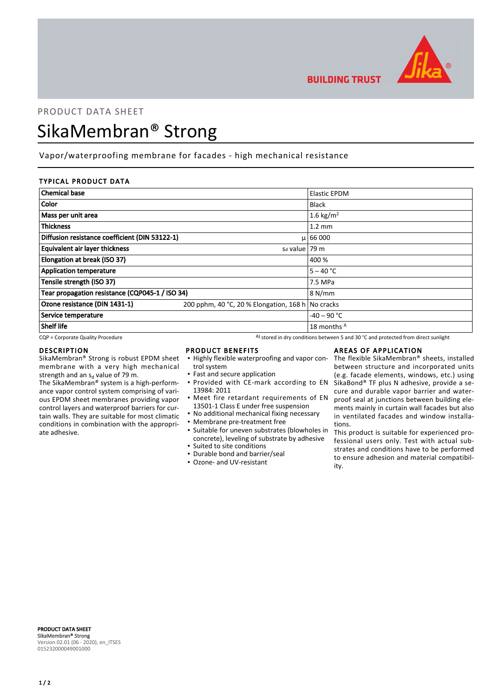

**BUILDING TRUST** 

# PRODUCT DATA SHEET

# SikaMembran® Strong

# Vapor/waterproofing membrane for facades - high mechanical resistance

## TYPICAL PRODUCT DATA

| <b>Chemical base</b>                            |                                                   | <b>Elastic EPDM</b>   |
|-------------------------------------------------|---------------------------------------------------|-----------------------|
| Color                                           |                                                   | <b>Black</b>          |
| Mass per unit area                              |                                                   | 1.6 kg/m <sup>2</sup> |
| <b>Thickness</b>                                |                                                   | $1.2 \text{ mm}$      |
| Diffusion resistance coefficient (DIN 53122-1)  |                                                   | $\mu$   66 000        |
| <b>Equivalent air layer thickness</b>           | $sd$ value   79 m                                 |                       |
| Elongation at break (ISO 37)                    |                                                   | 400 %                 |
| <b>Application temperature</b>                  |                                                   | $5 - 40 °C$           |
| Tensile strength (ISO 37)                       |                                                   | 7.5 MPa               |
| Tear propagation resistance (CQP045-1 / ISO 34) |                                                   | 8 N/mm                |
| Ozone resistance (DIN 1431-1)                   | 200 pphm, 40 °C, 20 % Elongation, 168 h No cracks |                       |
| Service temperature                             |                                                   | $-40 - 90$ °C         |
| Shelf life                                      |                                                   | 18 months A           |

 $CQP$  = Corporate Quality Procedure  $A)$  stored in dry conditions between 5 and 30 °C and protected from direct sunlight

## DESCRIPTION

SikaMembran® Strong is robust EPDM sheet membrane with a very high mechanical strength and an s<sub>d</sub> value of 79 m.

The SikaMembran® system is a high-performance vapor control system comprising of various EPDM sheet membranes providing vapor control layers and waterproof barriers for curtain walls. They are suitable for most climatic conditions in combination with the appropriate adhesive.

## PRODUCT BENEFITS

- **.** Highly flexible waterproofing and vapor control system
- Fast and secure application **• Provided with CE-mark according to EN**
- 13984: 2011 **•** Meet fire retardant requirements of EN
- 13501-1 Class E under free suspension
- No additional mechanical fixing necessary
- Membrane pre-treatment free
- Suitable for uneven substrates (blowholes in concrete), leveling of substrate by adhesive ▪ Suited to site conditions
- Durable bond and barrier/seal
- Ozone- and UV-resistant

## AREAS OF APPLICATION

The flexible SikaMembran® sheets, installed between structure and incorporated units (e.g. facade elements, windows, etc.) using SikaBond® TF plus N adhesive, provide a secure and durable vapor barrier and waterproof seal at junctions between building elements mainly in curtain wall facades but also in ventilated facades and window installations.

This product is suitable for experienced professional users only. Test with actual substrates and conditions have to be performed to ensure adhesion and material compatibility.

PRODUCT DATA SHEET SikaMembran® Strong Version 02.01 (06 - 2020), en\_ITSES 015232000049001000